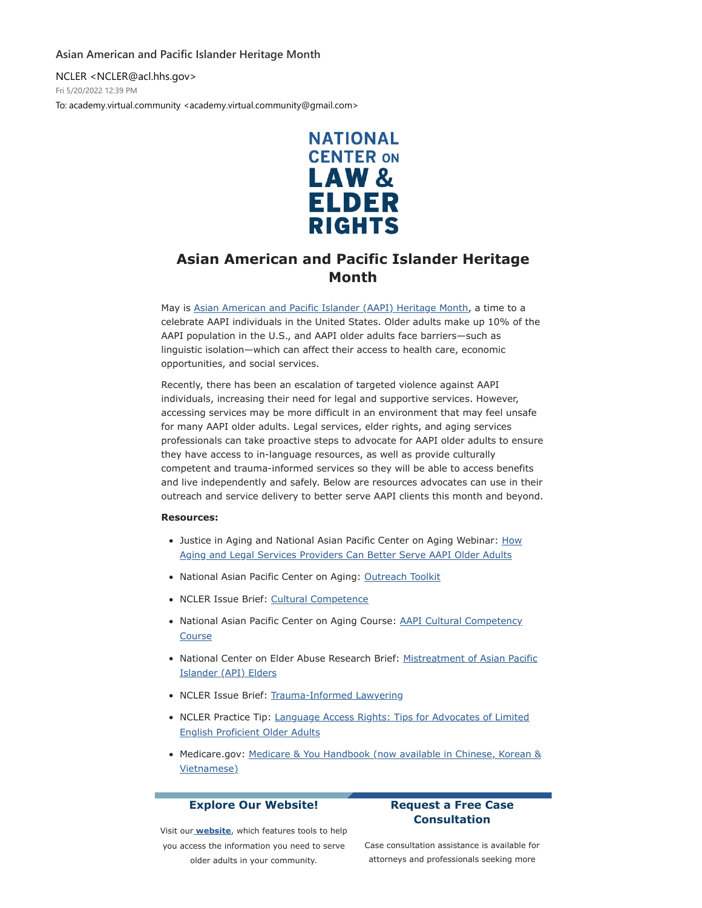### **Asian American and Pacific Islander Heritage Month**

NCLER <NCLER@acl.hhs.gov> Fri 5/20/2022 12:39 PM To: academy.virtual.community <academy.virtual.community@gmail.com>



# **Asian American and Pacific Islander Heritage Month**

May is [Asian American and Pacific Islander \(AAPI\) Heritage Month,](https://nam02.safelinks.protection.outlook.com/?url=https%3A%2F%2Fdefault.salsalabs.org%2FT965364a4-6238-4a4b-9d87-e16101ddab56%2Fcc9f68e0-5ca3-4753-8b0a-258fe6ffcc07&data=05%7C01%7Crmc277%40shp.rutgers.edu%7Cf321b3db18d64cb8a6de08da3a7f53ba%7Cb92d2b234d35447093ff69aca6632ffe%7C1%7C0%7C637886615787499441%7CUnknown%7CTWFpbGZsb3d8eyJWIjoiMC4wLjAwMDAiLCJQIjoiV2luMzIiLCJBTiI6Ik1haWwiLCJXVCI6Mn0%3D%7C3000%7C%7C%7C&sdata=5rOQkaCKS3hMGLOWNE11Q%2ByCZ1dlcpQqmbO6b%2Fr1y1E%3D&reserved=0) a time to a celebrate AAPI individuals in the United States. Older adults make up 10% of the AAPI population in the U.S., and AAPI older adults face barriers—such as linguistic isolation—which can affect their access to health care, economic opportunities, and social services.

Recently, there has been an escalation of targeted violence against AAPI individuals, increasing their need for legal and supportive services. However, accessing services may be more difficult in an environment that may feel unsafe for many AAPI older adults. Legal services, elder rights, and aging services professionals can take proactive steps to advocate for AAPI older adults to ensure they have access to in-language resources, as well as provide culturally competent and trauma-informed services so they will be able to access benefits and live independently and safely. Below are resources advocates can use in their outreach and service delivery to better serve AAPI clients this month and beyond.

#### **Resources:**

- [Justice in Aging and National Asian Pacific Center on Aging Webinar: How](https://nam02.safelinks.protection.outlook.com/?url=https%3A%2F%2Fdefault.salsalabs.org%2FTde4c8edd-473e-4f51-a95f-c4e82634be20%2Fcc9f68e0-5ca3-4753-8b0a-258fe6ffcc07&data=05%7C01%7Crmc277%40shp.rutgers.edu%7Cf321b3db18d64cb8a6de08da3a7f53ba%7Cb92d2b234d35447093ff69aca6632ffe%7C1%7C0%7C637886615787499441%7CUnknown%7CTWFpbGZsb3d8eyJWIjoiMC4wLjAwMDAiLCJQIjoiV2luMzIiLCJBTiI6Ik1haWwiLCJXVCI6Mn0%3D%7C3000%7C%7C%7C&sdata=mR%2Bvdn%2BfX1BfYl9856fsceMje0k6voNl793TiTZf6Xk%3D&reserved=0) Aging and Legal Services Providers Can Better Serve AAPI Older Adults
- National Asian Pacific Center on Aging: [Outreach Toolkit](https://nam02.safelinks.protection.outlook.com/?url=https%3A%2F%2Fdefault.salsalabs.org%2FTb1915ea6-a2df-4ba6-8fd3-54c25bff1acb%2Fcc9f68e0-5ca3-4753-8b0a-258fe6ffcc07&data=05%7C01%7Crmc277%40shp.rutgers.edu%7Cf321b3db18d64cb8a6de08da3a7f53ba%7Cb92d2b234d35447093ff69aca6632ffe%7C1%7C0%7C637886615787499441%7CUnknown%7CTWFpbGZsb3d8eyJWIjoiMC4wLjAwMDAiLCJQIjoiV2luMzIiLCJBTiI6Ik1haWwiLCJXVCI6Mn0%3D%7C3000%7C%7C%7C&sdata=U1UA7P7IIgWr0AddnEactPJgIHvnpq13sof4dEYKupk%3D&reserved=0)
- NCLER Issue Brief: [Cultural Competence](https://nam02.safelinks.protection.outlook.com/?url=https%3A%2F%2Fdefault.salsalabs.org%2FT4c642717-da3a-4cf8-b4e4-5111dd6c7292%2Fcc9f68e0-5ca3-4753-8b0a-258fe6ffcc07&data=05%7C01%7Crmc277%40shp.rutgers.edu%7Cf321b3db18d64cb8a6de08da3a7f53ba%7Cb92d2b234d35447093ff69aca6632ffe%7C1%7C0%7C637886615787656109%7CUnknown%7CTWFpbGZsb3d8eyJWIjoiMC4wLjAwMDAiLCJQIjoiV2luMzIiLCJBTiI6Ik1haWwiLCJXVCI6Mn0%3D%7C3000%7C%7C%7C&sdata=4OquVF6P7iOzAYZkDuQVYIhuYSHR6njH3rfR0%2BcbiQY%3D&reserved=0)
- [National Asian Pacific Center on Aging Course: AAPI Cultural Competency](https://nam02.safelinks.protection.outlook.com/?url=https%3A%2F%2Fdefault.salsalabs.org%2FT34994f55-1ba6-4c3f-9c10-58012167ce0e%2Fcc9f68e0-5ca3-4753-8b0a-258fe6ffcc07&data=05%7C01%7Crmc277%40shp.rutgers.edu%7Cf321b3db18d64cb8a6de08da3a7f53ba%7Cb92d2b234d35447093ff69aca6632ffe%7C1%7C0%7C637886615787656109%7CUnknown%7CTWFpbGZsb3d8eyJWIjoiMC4wLjAwMDAiLCJQIjoiV2luMzIiLCJBTiI6Ik1haWwiLCJXVCI6Mn0%3D%7C3000%7C%7C%7C&sdata=eBifZSKaBIl%2FSMoNfWhDHDX1U3tMUVsiElZeZPXHH%2FM%3D&reserved=0) Course
- [National Center on Elder Abuse Research Brief: Mistreatment of Asian Pacific](https://nam02.safelinks.protection.outlook.com/?url=https%3A%2F%2Fdefault.salsalabs.org%2FTaf51c2f2-cab6-4dcb-b35a-be696830e5dc%2Fcc9f68e0-5ca3-4753-8b0a-258fe6ffcc07&data=05%7C01%7Crmc277%40shp.rutgers.edu%7Cf321b3db18d64cb8a6de08da3a7f53ba%7Cb92d2b234d35447093ff69aca6632ffe%7C1%7C0%7C637886615787656109%7CUnknown%7CTWFpbGZsb3d8eyJWIjoiMC4wLjAwMDAiLCJQIjoiV2luMzIiLCJBTiI6Ik1haWwiLCJXVCI6Mn0%3D%7C3000%7C%7C%7C&sdata=kEY2Mu7sHjljZIyHIdMl1OMXHzO5mcrYYwzbgwZfGLg%3D&reserved=0) Islander (API) Elders
- NCLER Issue Brief: [Trauma-Informed Lawyering](https://nam02.safelinks.protection.outlook.com/?url=https%3A%2F%2Fdefault.salsalabs.org%2FT675fc946-22bc-4fb1-a66a-eafd3ac94d97%2Fcc9f68e0-5ca3-4753-8b0a-258fe6ffcc07&data=05%7C01%7Crmc277%40shp.rutgers.edu%7Cf321b3db18d64cb8a6de08da3a7f53ba%7Cb92d2b234d35447093ff69aca6632ffe%7C1%7C0%7C637886615787656109%7CUnknown%7CTWFpbGZsb3d8eyJWIjoiMC4wLjAwMDAiLCJQIjoiV2luMzIiLCJBTiI6Ik1haWwiLCJXVCI6Mn0%3D%7C3000%7C%7C%7C&sdata=TH9XGpBvm%2FSO5vDfgPZ55LtUsGhDNpJVhxs7POtD%2BJQ%3D&reserved=0)
- [NCLER Practice Tip: Language Access Rights: Tips for Advocates of Limited](https://nam02.safelinks.protection.outlook.com/?url=https%3A%2F%2Fdefault.salsalabs.org%2FTb3f672a0-d9d8-4292-9ee3-119d961f253e%2Fcc9f68e0-5ca3-4753-8b0a-258fe6ffcc07&data=05%7C01%7Crmc277%40shp.rutgers.edu%7Cf321b3db18d64cb8a6de08da3a7f53ba%7Cb92d2b234d35447093ff69aca6632ffe%7C1%7C0%7C637886615787656109%7CUnknown%7CTWFpbGZsb3d8eyJWIjoiMC4wLjAwMDAiLCJQIjoiV2luMzIiLCJBTiI6Ik1haWwiLCJXVCI6Mn0%3D%7C3000%7C%7C%7C&sdata=Ll2x433s1QZr09Uuk%2BmyzPYUc4ie66nQncHdVgacSno%3D&reserved=0) English Proficient Older Adults
- [Medicare.gov: Medicare & You Handbook \(now available in Chinese, Korean &](https://nam02.safelinks.protection.outlook.com/?url=https%3A%2F%2Fdefault.salsalabs.org%2FTf67c5d68-08fa-4f08-87fb-bdde51c8990b%2Fcc9f68e0-5ca3-4753-8b0a-258fe6ffcc07&data=05%7C01%7Crmc277%40shp.rutgers.edu%7Cf321b3db18d64cb8a6de08da3a7f53ba%7Cb92d2b234d35447093ff69aca6632ffe%7C1%7C0%7C637886615787656109%7CUnknown%7CTWFpbGZsb3d8eyJWIjoiMC4wLjAwMDAiLCJQIjoiV2luMzIiLCJBTiI6Ik1haWwiLCJXVCI6Mn0%3D%7C3000%7C%7C%7C&sdata=3BAQU%2B4vdxoBEEe0ecvWMREXXwjMySwHwVZB%2BxiToMs%3D&reserved=0) Vietnamese)

## **Explore Our Website!**

# **Request a Free Case Consultation**

Visit our **[website](https://nam02.safelinks.protection.outlook.com/?url=https%3A%2F%2Fdefault.salsalabs.org%2FTd67222b1-0da5-451f-bb31-9d8c685bae37%2Fcc9f68e0-5ca3-4753-8b0a-258fe6ffcc07&data=05%7C01%7Crmc277%40shp.rutgers.edu%7Cf321b3db18d64cb8a6de08da3a7f53ba%7Cb92d2b234d35447093ff69aca6632ffe%7C1%7C0%7C637886615787656109%7CUnknown%7CTWFpbGZsb3d8eyJWIjoiMC4wLjAwMDAiLCJQIjoiV2luMzIiLCJBTiI6Ik1haWwiLCJXVCI6Mn0%3D%7C3000%7C%7C%7C&sdata=K7u69169oCc26s90DsOCHH%2Bk5Yh75KCxMBVJWdqhZvw%3D&reserved=0)**, which features tools to help you access the information you need to serve older adults in your community.

Case consultation assistance is available for attorneys and professionals seeking more